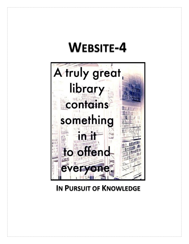# **WEBSITE-4**



# **IN PURSUIT OF KNOWLEDGE**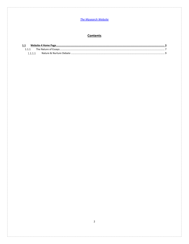# Contents

| 1.1     |  |
|---------|--|
| 1.1.1   |  |
| 1.1.1.1 |  |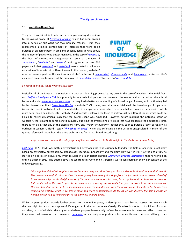# <span id="page-2-0"></span>**1.1 Website-4 Home Page**

The goal of website-4 is to add further complementary discussions to the overall scope of *[Mysearch website](http://www.mysearch.org.uk/)*, which has been divided into a series of sub-webs for two primary reasons. First, they represented a logical containment of interests that were being pursued at an earlier point in time and, second, each sub-web allows the number of pages to be better managed. In the case of *[website-1](http://www.mysearch.org.uk/website1/html/1.Home.html)*, the focus of interest was categorized in terms of the idea of *['worldview](http://www.mysearch.org.uk/website1/html/5.Worldviews.html)s'*, '*[evolution](http://www.mysearch.org.uk/website1/html/75.Evolution.html)*' and '*[science](http://www.mysearch.org.uk/website1/html/184.Science.html)*', which grew to be over 600 pages, such that *[website-2](http://www.mysearch.org.uk/website2/html/1.Home.html)* and *[website-3](http://www.mysearch.org.uk/website3/html/1.Home.html)* were created to allow an expansion of interests into different areas. In this context, website-2



mirrored some aspects of the sections in website-1 in terms of '*[perspective'](http://www.mysearch.org.uk/website2/html/2.Perspective.html)*, '*[developments](http://www.mysearch.org.uk/website2/html/7.Developments.html)*' and '*[technology](http://www.mysearch.org.uk/website2/html/7.Developments.html)*', while website-3 expanded on a specific aspect of the discussion of '*[speculative science](http://www.mysearch.org.uk/website1/html/402.Speculative.html)*' focused on '*[wave models'](http://www.mysearch.org.uk/website3/html/2.WSE.html)*.

#### *So, what additional topics might be pursued?*

Basically, all of the Mysearch discussions start out as a learning process, i.e. my own. In the case of website-1, the initial focus was *[Artificial Intelligence \(AI\)](http://www.mysearch.org.uk/website1/html/125.AI.html)*, but primarily from a technical perspective. However, the scope quickly started to raise ethical issues and wider *[evolutionary implications](http://www.mysearch.org.uk/website1/html/133.Paradigm.html)* that required a better understanding of a broad range of issues, which ultimately led to the discussion entitled *[Brave New Worlds](http://www.mysearch.org.uk/website2/html/146.NuWorlds.html)* in website-2. Of course, even at a superficial level, the broad range of topics and issues discussed in website-1 had to be undertaken in a stepwise process, which over time helped create a framework to which more detail could be added. Later, website-2 and website-3 allowed the focus to shift to slightly different topics, which could be linked to earlier discussions, such that the overall scope was expanded. However, before pursuing the potential scope of website-4, there might be some benefit in quickly outlining the overarching principles that have guided all the discussions. First, there is no claim that any of the discussions carry any *'weight of authority'*, rather they seek to pursue a '*duty of inquiry'* as outlined in William Clifford's essay '*[The Ethics of Belief'](http://www.mysearch.org.uk/website1/html/64.Ethics.html)*, while also reflecting on the wisdom encapsulated in many of the quotes referenced throughout the entire website. The first is attributed to Carl Jung:

# *As far as we can discern, the sole purpose of human existence is to kindle a light in the darkness of mere being.*

*[Carl Jung](https://en.wikipedia.org/wiki/Carl_Jung)* (1875–1961) was both a psychiatrist and psychoanalyst, who essentially founded the field of analytical psychology based on psychiatry, anthropology, archaeology, literature, philosophy and theology. However, in 1957, at the age of 84, he started on a series of discussions, which resulted in a manuscript entitled '*[Memories, Dreams, Reflections'](https://en.wikipedia.org/wiki/Memories,_Dreams,_Reflections)* that he worked on until his death in 1961. The quote above is taken from this work and it is possibly worth considering in the wider context of the following passage.

*"Our age has shifted all emphasis to the here and now, and thus brought about a demonization of man and his world. The phenomenon of dictators and all the misery they have wrought springs from the fact that man has been robbed of transcendence by the short-sightedness of the super-intellectuals. Like them, he has fallen a victim to unconsciousness. But man's task is the exact opposite: to become conscious of the contents that press upward from the unconscious. Neither should he persist in his unconsciousness, nor remain identical with the unconscious elements of his being, thus evading his destiny, which is to create more and more consciousness. As far as we can discern, the sole purpose of human existence is to kindle a light in the darkness of mere being."*

While the passage does provide further context to the one-line quote, its description is possibly too abstract for many, such that we might focus on the purpose of life suggested in the last sentence. Clearly, life exists in the form of millions of shapes and sizes, most of which is driven by survival where purpose is essentially defined by environmental cause and effect. However, it appears that evolution has presented *[humanity](http://www.mysearch.org.uk/website2/html/106.Humanity.html)* with a unique opportunity to define its own purpose, although this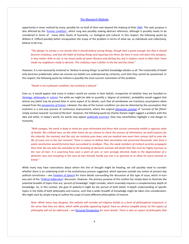opportunity is never realized by many, possibly for no fault of their own beyond the makeup of their *[DNA](http://www.mysearch.org.uk/website2/html/108.DNA.html)*. This said, purpose is also affected by the '*[human condition'](http://www.mysearch.org.uk/website2/html/97.Elephant.html)*, which Jung was possibly making abstract reference, although it possibly needs to be considered in terms of many other facets of humanity, i.e. biological and cultural. In this respect, the following quote by William K. Clifford possibly better encapsulates the scope of the problem in terms of what we, as individuals and collectively, believe to be true.

*"The danger to society is not merely that it should believe wrong things, though that is great enough; but that it should become credulous, and lose the habit of testing things and inquiring into them, for then it must sink back into savagery. It may matter little to me, in my cloud-castle of sweet illusions and darling lies; but it matters much to Man that I have made my neighbours ready to deceive. The credulous man is father to the liar and the cheat."* 

However, it is not necessarily irrational to '*believe in wrong things'* as perfect knowledge alludes us all. The irrationality of belief only becomes problematic when we assume our beliefs are underpinned by certainty, such that they cannot be questioned. In this respect, the following quote by Voltaire is possibly the most succinct summation of this problem.

#### *"Doubt is not a pleasant condition, but certainty is absurd."*

Even so, it would appear that many in today's world are certain in their beliefs, irrespective of whether they are founded on *[theology](http://www.mysearch.org.uk/website1/html/49.Theology.html)*, *[philosophy](http://www.mysearch.org.uk/website1/html/38.Philosophy.html)* or *[science](http://www.mysearch.org.uk/website1/html/68.Science.html)*. For while we might be able to quantify a '*degree of certainty'*, probability would suggest that almost any belief may be proved false in some aspect of its details, such that all worldviews are transitory assumptions when viewed from the *[perspective of history](http://www.mysearch.org.uk/website1/html/10.History.html)*. Likewise, the idea of the human condition can also be distorted by the assumption that evolution is a one-way process of continuous improvement, where the original *[Darwinian concept](http://www.mysearch.org.uk/website1/html/83.Darwin.html)* of '*survival of the fittest'* simply evolves towards '*survival of the best'*. However, the following quote by Charles Darwin might suggest a problem with this idea and while, in today's world, his words may appear *[politically incorrect](https://en.wikipedia.org/wiki/Political_correctness)*, they may nevertheless highlight a real danger to humanity.

*"With savages, the weak in body or mind are soon eliminated and those that survive commonly exhibit a vigorous state of health. We civilized men, on the other hand, do our utmost to check the process of elimination; we build asylums for the imbecile, the maimed, and the sick; we institute poor-laws; and our medical men exert their utmost skill to save the life of every one to the last moment. There is reason to believe that vaccination has preserved thousands, who from a weak constitution would formerly have succumbed to smallpox. Thus, the weak members of civilized societies propagate their kind. No one who has attended to the breeding of domestic animals will doubt that this must be highly injurious to the race of man. It is surprising how soon a want of care, or care wrongly directed, leads to the degeneration of a domestic race; but excepting in the case of man himself, hardly any one is so ignorant as to allow his worst animals to breed."*

While many may have reservations about where this line of thought might be heading, we still possibly need to consider whether there is an underlying truth in the evolutionary process suggested, which operates outside any notion of present-day political correctness – see *[Freedom of Speech](http://www.mysearch.org.uk/website2/html/258.Freedom.html)* for more details surrounding the discussion of this type of issue, which in-turn was part of the '*[Political Addendum](http://www.mysearch.org.uk/website2/html/254.Politics-2.html)*' discussion. However, the primary purpose of this outline has simply been to illustrate the potential breadth of topics that any *'pursuit of knowledge*' might consider, which invariably requires a complementary depth of knowledge. So, in this context, the goal of website-4 might be the pursuit of both better in-depth understanding of specific topics in the fields of both philosophy and science, such that a wider breadth of knowledge might be taken into consideration. We might start by simply trying to outline the scope of some different philosophies of interest.

*Note: While many may disagree, this website will consider all religious beliefs as a form of philosophical conjecture in the sense that they are ideas, which while possibly appearing logical, have no obvious tangible proof. As this aspect of philosophy will not be addressed – see* [Personal Perspective](http://www.mysearch.org.uk/website1/html/455.Personal.html) *for more details. There is also an aspect of philosophy that*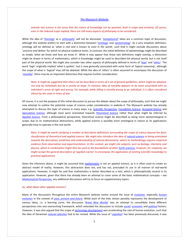*extends into science in the sense that the nature of knowledge can be question, both in scope and certainty. Of course, even in the reduced scope implied, there are still many aspects of philosophy to be considered.*

While the idea of '*[theology](https://en.wikipedia.org/wiki/Theology)*' as a '*[philosophy](https://en.wikipedia.org/wiki/Philosophy)*' will not be discussed, '*[metaphysical](https://en.wikipedia.org/wiki/Metaphysics)*' ideas are a common topic of discussion, although this website prefers to start with a distinction between '*[ontology](https://en.wikipedia.org/wiki/Ontology)*' and '*[epistemology](https://en.wikipedia.org/wiki/Epistemology)*'. As a very simplistic definition, ontology will be defined as '*what is real and is known to exist in the world*', such that it might exclude discussions about '*unicorns and deities'* for which no physical evidence exists. In contrast, the initial definition of epistemology might be described as simply '*what we know and how we know it'*. While it may appear that these two definitions might overlap, a distinction might be drawn in terms of mathematics, which is knowledge might be used to described the physical world, but is not itself part of the physical world. We might also consider two other aspects of philosophy defined in terms of '*[logic](https://en.wikipedia.org/wiki/Logic)*' and '*[ethics](https://en.wikipedia.org/wiki/Ethics)*'. The word '*logic*' originally implied '*what is spoken'*, but is now generally associated with some form of *'logical reasoning'*, although the scope of what is *'logical'* may still be debated. While the idea of *'ethics'* is often assumed to encompass the discussion of '*[morality](https://en.wikipedia.org/wiki/Morality)*', there may be an important distinction that requires further consideration.

*Note: It might be suggested that ethics can be described in terms of a set of general guidelines, which might be adopted, not only by individuals but by a society at large. In contrast, idea of morality appears to be more associated with an individual's sense of right and wrong. For example, while killing is morally wrong to an individual, it is often considered ethical by the state in times of war.* 

Of course, it is not the purpose of this initial discussion to pursue the debate about the scope of philosophy, such that we might now attempt to outline the potential scope of science under consideration in website-4. The Mysearch website has already attempted to discuss the topic of science in many ways, e.g. *[Scientific Perspective](http://www.mysearch.org.uk/website1/html/68.Science.html)*, *[Foundation Science](http://www.mysearch.org.uk/website1/html/186.Foundation.html)*, *[Accepted Science](http://www.mysearch.org.uk/website1/html/235.Accepted.html)* and *[Speculative Science](http://www.mysearch.org.uk/website1/html/402.Speculative.html)*, although most were orientated towards *[Theoretical Science](https://en.wikipedia.org/wiki/Theoretical_physics)* rather than what might be inferred by *[Applied Science](https://en.wikipedia.org/wiki/Applied_science)*. From a philosophical perspective, theoretical science might be described as being more epistemological in scope, due to its mathematical abstractions, while applied science is possibly more ontological in nature as its applications generally have to operate in the real world.

*Note: It might be worth clarifying a number of descriptive definitions surrounding the scope of science beyond the basic classification of theoretical and applied science. We might also introduce the idea of [natural science](https://en.wikipedia.org/wiki/Natural_science) as being orientated towards the description, prediction and understanding of natural phenomena, where its methodology requires empirical evidence from observation and experimentation. In this context, we might cite subjects, such as biology, chemistry and physics, which in combination might then be used as the foundations of other* [Earth sciences](https://en.wikipedia.org/wiki/Earth_science)*. However, for simplicity, we might accept the general description of 'applied science' to encompass the application of existing scientific knowledge to practical applications.*

Given the inference above, it might be assumed that *[mathematics](https://en.wikipedia.org/wiki/Mathematics)* is not an applied science, as it is often used to create an abstract model of reality. However, this abstraction does not, and has not, precluded its use in all manner of real-world applications. However, it might be said that mathematics is better described as a tool, which is philosophically neutral in its application. However, given that there has already been an attempt to cover some of the basic mathematical concepts – see *[Mathematical Perspective](http://www.mysearch.org.uk/website1/html/187.Maths.html)*, any additional discussions will try to focus on supplementary topics.

# *So, what about other applied sciences?*

Many of the discussions throughout the entire Mysearch website centre around the issue of *[evolution](http://www.mysearch.org.uk/website1/html/75.Evolution.html)*, especially *[human](http://www.mysearch.org.uk/website1/html/84.Human.html)  [evolution](http://www.mysearch.org.uk/website1/html/84.Human.html)* in the context of *[past, present and future](http://www.mysearch.org.uk/website2/html/106.Humanity.html)*. While each of the links shown possibly represents the development of various ideas, i.e. a learning curve, the discussion '*[Brave New Worlds](http://www.mysearch.org.uk/website2/html/146.NuWorlds.html)*' was an attempt to consolidate these different perspectives into one overarching framework, which extended the discussion to include *[social](http://www.mysearch.org.uk/website2/html/189.Social.html)*, *[economic](http://www.mysearch.org.uk/website2/html/187.Economics.html)* and *[political](http://www.mysearch.org.uk/website2/html/188.Politics.html)* factors. However, it was also argued that the scope of *[technology development](http://www.mysearch.org.uk/website2/html/186.Technology.html)* was accelerating the rate of human evolution, such that the idea of Darwinian *[natural selection](https://en.wikipedia.org/wiki/Natural_selection)* had to be revised. While the issue of '*[cognition](http://www.mysearch.org.uk/website1/html/108.Cognition.html)*' has been previously discussed, it was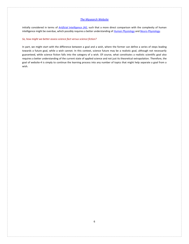initially considered in terms of *[Artificial Intelligence \(AI\)](http://www.mysearch.org.uk/website1/html/125.AI.html)*, such that a more direct comparison with the complexity of human intelligence might be overdue, which possibly requires a better understanding of *[Human Physiology](Human%20Physiology)* and *[Neuro-Physiology](http://www.mysearch.org.uk/website1/html/86.Psychology.html)*.

# *So, how might we better assess science fact versus science fiction?*

In part, we might start with the difference between a goal and a wish, where the former can define a series of steps leading towards a future goal, while a wish cannot. In this context, science future may be a realistic goal, although not necessarily guaranteed, while science fiction falls into the category of a wish. Of course, what constitutes a realistic scientific goal also requires a better understanding of the current state of applied science and not just its theoretical extrapolation. Therefore, the goal of website-4 is simply to continue the learning process into any number of topics that might help separate a goal from a wish.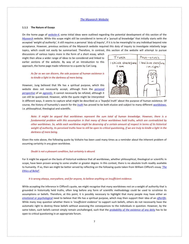# <span id="page-6-0"></span>**1.1.1 The Nature of Essays**

On the home page of *[website-4](http://www.mysearch.org.uk/website4/html/1.Home.html)*, some initial ideas were outlined regarding the potential development of this section of the *[Mysearch](http://www.mysearch.org.uk/index.html)* website. While this scope might still be considered in terms of a '*pursuit of knowledge'* that initially starts with the accepted '*weight of authority',* it still requires a personal '*duty of inquiry*', if it is to be meaningful to any individual beyond rote acceptance. However, previous sections of the Mysearch website required this duty of inquiry to investigate relatively large topics, which could not easily be summarised. Therefore, in contrast, this section of the website will attempt to pursue

discussions of various topics more in the form of a short essay, which might then allow a wider range of ideas to be considered and linked to earlier sections of the website. By way of an introduction to this approach, the home page made reference to a quote by Carl Jung.

# *As far as we can discern, the sole purpose of human existence is to kindle a light in the darkness of mere being.*

However, Jung believed that life has a spiritual purpose, which this website does not necessarily accept, although from the *[personal](http://www.mysearch.org.uk/website1/html/455.Personal.html)  [perspective](http://www.mysearch.org.uk/website1/html/455.Personal.html)* of an *[agnostic](https://en.wikipedia.org/wiki/Agnosticism)*, it cannot necessarily be refuted, although it can still be questioned. However, while the quote might be interpreted



in different ways, it seems to capture what might be described as a '*hopeful truth'* about the purpose of human existence. Of course, the history of humanity's search for the *[truth](http://www.mysearch.org.uk/website1/html/41.Truth.html)* has proved to be both elusive and subject to many different *[worldviews](http://www.mysearch.org.uk/website1/html/5.Worldviews.html)*, i.e. philosophical, theological and scientific.

*Note: It might be argued that worldviews represent the sum total of human knowledge. However, there is a fundamental problem with this assumption in that many of these worldviews hold truths, which are contradicted by other worldviews. So, while each worldview might be deserving of a certain amount of respect in terms of its historical weight of authority, its perceived truths have to still be open to critical questioning, if we are truly to kindle a light in the darkness of mere being.*

Given the note above, the following quote by Voltaire has been used many times as a reminder about the inherent problem of assuming certainty in any given worldview.

# *Doubt is not a pleasant condition, but certainty is absurd.*

For it might be argued on the basis of historical evidence that all worldviews, whether philosophical, theological or scientific in scope, have been proven wrong to some smaller or greater degree. In this context, there is no absolute truth readily available to humanity. If so, then we might be better served by reflecting on the following quote taken from William Clifford's essay *['The](http://www.mysearch.org.uk/website1/html/64.Ethics.html)  [Ethics of Belief'](http://www.mysearch.org.uk/website1/html/64.Ethics.html)*.

#### *It is wrong always, everywhere, and for anyone, to believe anything on insufficient evidence.*

While accepting the inference in Clifford's quote, we might recognise that many worldviews rest on a weight of authority that is grounded in historically held truths, often long before any form of scientific methodology could be used to scrutinise its assumptions or beliefs. Therefore, at this point, it is possibly necessary to highlight that many people may have either an *emotional or [psychological](http://www.mysearch.org.uk/website1/html/456.Beliefs.html)* need to believe that life has a spiritual purpose, which may then support their idea of an *[afterlife](http://www.mysearch.org.uk/website1/html/457.AfterLife.html)*. While many may question whether there is '*insufficient evidence'* to support such beliefs, others do not necessarily have the automatic right to destroy these beliefs without assessing the consequences to the individuals in question. However, by the same token, such beliefs cannot simply remain unchallenged, such that the *probability of [the existence of](http://www.mysearch.org.uk/website1/html/458.Probability.html) any deity* has to be open to critical questioning in an appropriate forum.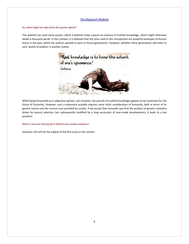# *So, what might we infer from the quotes above?*

This website has used many quotes, which it believes helps capture an essence of truthful knowledge, which might otherwise allude a thousand words. In this context, it is believed that the ones used in this introduction are powerful examples of lessons learnt in the past, which the authors wanted to pass to future generations. However, whether these generations will listen to such *'pearls of wisdom'* is another matter.



While being forwarded as a subjective opinion, not certainty, the pursuit of truthful knowledge appears to be important for the future of humanity. However, such a statement possibly requires some initial consideration of humanity, both in terms of its genetic nature and the nurture now provided by society. If we accept that humanity was first the product of genetic evolution driven by natural selection, but subsequently modified by a long succession of man-made developments, it leads to a key question.

# *What is now the driving force behind man-made evolution?*

However, this will be the subject of the first essay in this section.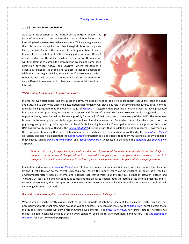# <span id="page-8-0"></span>*Nature & Nurture Debate*

As a basic introduction of the '*nature versus nurture'* debate, the issue of evolution is often polarised in terms of two factors, i.e. internal genetics versus external environment. While we might accept that this debate can applied to other biological lifeforms on planet Earth, the main focus of the debate is invariably orientated towards human life, as depicted right, without really giving too much thought about the direction this debate might go in the future. However, we will first attempt to extend this introduction by making some basic distinction between *'nature'* and *'nurture'*, where the former is essentially biological in scope and subject to genetic adaptation, while the latter might be linked to any form of environmental effect. Generally, we might accept that nature and nurture can operate on very different timescales, which then leads to an initial question of interest.

#### *Will the future be determined by nature or nurture?*



In order to even start addressing the question above, we possibly need to be a little more specific about the scope of nature and nurture plus clarify the underlying assumption that humanity will play a key role in determining this future. In this context, it might be highlighted that the opening page of *[website-4](http://www.mysearch.org.uk/website4/html/1.Home.html)* suggested that past evolutionary processes have presented humanity with an opportunity to define the purpose, and future, of its own existence. However, it also suggested that this opportunity may never be realized by many, possibly for no fault of their own, due to the makeup of their DNA. This statement is based on the assumption that life is subject to a unique blueprint, encoded into DNA, which determines the scope of both the physiology and psychology of all species on planet Earth, including humanity. The empirical evidence in support of the role of DNA has previously been outlined in the *[Biological Model](http://www.mysearch.org.uk/website2/html/107.Biological.html)* discussion, such that this detail will not be repeated. However, while there is empirical evidence that the evolution of any species has been based on mechanisms outlined in the *['Inheritance Model'](http://www.mysearch.org.uk/website2/html/110.Inheritance.html)* discussion, it is also highlighted that the *[Genetic Model](http://www.mysearch.org.uk/website2/html/112.Genetics.html)* of inheritance is also subject to random mutations plus many additional mechanisms, such as '*[genetic recombination](https://en.wikipedia.org/wiki/Genetic_recombination)*' and '*[genetic dominance](https://en.wikipedia.org/wiki/Dominance_(genetics))*', which lead to changes in the *[genotype](https://en.wikipedia.org/wiki/Genotype)* and *[phenotype](https://en.wikipedia.org/wiki/Phenotype)* of a species.

# *Note: At this point, it might be highlighted that the central premise of Darwinian natural selection is that all life has adapted to environmental change, which it is assumed takes place over many generations. However, today, it is recognised that environmental change in the form of social developments may take place within a single generation.*

In addition, a developing '*[Epigenetic Model'](http://www.mysearch.org.uk/website2/html/111.Epigenetics.html)* suggests that phenotype changes may take place via a mechanism that does not involve direct alteration to the overall DNA sequence. Within this model, genes can be switched on or off as a result of environmental factors, possibly internal and external, such that it might blur the previous distinction between '*nature'* and *'nurture'*. Of course, if humanity continues to develop the ability to change both the nature of its genetic blueprint and its external environment, then the question about nature and nurture may not be the central issue of concern as both will increasingly become man-made.

# *But do the various assumptions about man-made evolution need to be challenged?*

While humanity might rightly assume itself to be the pinnacle of intelligent sentient life on planet Earth, this does not necessarily guarantee that man-made evolution will be a success. For even a brief review of *[human history](http://www.mysearch.org.uk/website1/html/10.History.html)* might suggest that a multitude of other factors will play a role in future developments – see *[Brave New Worlds](http://www.mysearch.org.uk/website2/html/145.Climate.html)* for further details. Therefore, we might still need to consider the idea of the *'human condition'* being the result of both nature and nurture - see *[The Elephant in](http://www.mysearch.org.uk/website2/html/97.Elephant.html)  [the Room](http://www.mysearch.org.uk/website2/html/97.Elephant.html)* for a possibly wider perspective.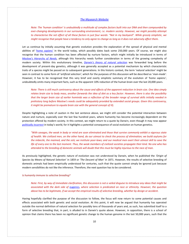*Note: The 'human condition' is undoubtedly a multitude of complex factors built into our DNA and then compounded by ever-changing developments in our surrounding environment, i.e. modern society. However, we might possibly attempt to characterise the net effect of all these factors in just four words: "Not in my backyard". While grossly simplistic, we might recognise that people have a tendency to only agree to change as long as it does not adversely affect them.*

Let us continue by initially assuming that genetic evolution provides the explanation of the spread of physical and mental abilities of '*[homo sapiens'](https://en.wikipedia.org/wiki/Homo_sapiens)* in the world today, which possibly dates back some 250,000 years. Of course, we might also recognise that the human condition has been affected by nurture factors, which might initially be introduced in terms of *[Maslow's Hierarchy of Needs](http://www.mysearch.org.uk/website1/html/8.Evolution.html)*, although this hierarchy needs further consideration in terms of the growing complexity of modern society. Within this evolutionary timeline, *[Darwin's theory of natural selection](https://en.wikipedia.org/wiki/Natural_selection)* was forwarded long before the development of present-day genetics, although it was generally accepted as a potential mechanism by which characteristic traits of a species might be passed on to subsequent generations. In this historic context, the term '*natural selection'* might be seen in contrast to some form of '*artificial selection'*, which for the purposes of this discussion will be described as '*man-made'*. However, it has to be recognised that this very brief and overly simplistic summary of the evolution of *'homo sapiens'*, undoubtedly omits many important facts, such as the apparent 10% reduction of the human brain over the last 20,000 years.

*Note: There is still much controversy about the cause and effects of the apparent reduction in brain size. One idea simply relates brain size to body mass, another forwards the idea of diet as a key factor. However, there is also the possibility that the larger brain size of earlier hominids was a reflection of the broader range of survival skills initially needed in prehistory long before Maslow's needs could be adequately provided by extended social groups. Given this controversy, it might be premature to equate brain size with the general concept of IQ.*

Despite highlighting a note of caution in the last sentence above, we might still consider the potential interaction between nature and nurture, especially over the last few hundred years, where humanity has become increasingly dependent on the protection offered by modern society. In this context, we might return to a quote by Darwin, even though it may now appear *[politically incorrect](https://en.wikipedia.org/wiki/Political_correctness)* in today's world, for it highlights a potential consequence of social evolution on human genetics.

*"With savages, the weak in body or mind are soon eliminated and those that survive commonly exhibit a vigorous state of health. We civilized men, on the other hand, do our utmost to check the process of elimination; we build asylums for the imbecile, the maimed, and the sick; we institute poor-laws; and our medical men exert their utmost skill to save the life of every one to the last moment. Thus, the weak members of civilized societies propagate their kind. No one who has attended to the breeding of domestic animals will doubt that this must be highly injurious to the race of man.* 

As previously highlighted, the genetic nature of evolution was not understood by Darwin, when he published the *'Origin of Species by Means of Natural Selection*' in 1859 or *'The Descent of Man'* in 1871. However, the results of selective breeding of domestic animals had been empirically understood for centuries, such that the quote cannot simply be ignored just because modern sensibilities do not like the inference. Therefore, the next question has to be considered.

# *Is humanity immune to selective breeding?*

*Note: First, by way of immediate clarification, this discussion is not a veiled disguise to introduce any ideas that might be associated with the dark side of* [eugenics](https://en.wikipedia.org/wiki/Eugenics)*, where selection is predicated on race or ethnicity. However, the question above has to be legitimate, if we accept the empirical results of selective breeding, whether by design or accident.*

Having hopefully clarified the purpose of the discussion to follow, the focus will now return to some potential causes and effects associated with both genetic and social evolution. At this point, it will now be argued that humanity has operated outside the normal definition of natural selection for possibly tens of thousands of years and, as such, has submitted itself to a form of selective breeding that, in part, is alluded to in Darwin's quote above. However, in opposition, there is a school of opinion that claims there has been no significant genetic change to the human genome in the last 50,000 years, such that the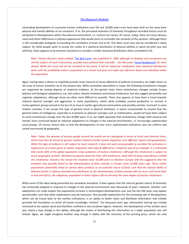astounding development of successive human civilisations over the last 10,000 years must have been built on the same basic physical and mental abilities of our ancestors. If so, the perceived evolution of humanity throughout recorded history must be attributed to developments within the external environment, i.e. nurture not nature. Of course, today, there are many obvious racial and ethnic differences in physical appearance that would seem to contradict the certainty of this position. Although there is still considerable ambiguity surrounding the correlation of brain size to IQ. This latter issue may also be considered a taboo subject, for while people seem to accept the reality of a statistical distribution of physical abilities in sports by both race and ethnicity, there appears to be extreme reluctance to consider a similar statistical distribution when correlated to IQ.

*Note: Charles Murray's book entitled '*[The Bell Curve'](https://en.wikipedia.org/wiki/The_Bell_Curve) *was published in 1994, although its findings and conclusions are still the subject of much controversy, possibly more political than scientific – see discussion '[Social Background'](http://www.mysearch.org.uk/website2/html/227.History.html) for more details. While this issue will not be revisited at this point, it will be stated for clarification that statistical distribution deals with the probability within a population as a whole and does not make any inference about any individual within this population.*

Again, having taken a detour to hopefully provide some reassure to those adherents of political correctness, we might return to the issue of human evolution up to the present-day. While somewhat speculative in scope, the following evolutionary changes are supported by varying degrees of empirical evidence. At the genetic level, these evolutionary changes include known physical and biological adaptations, e.g. skin colour, disease resistance and lactose intolerance, but also suggest personality and cognitive adaptations, although these are often more difficult to quantify. There also appears to have been a trend towards reduced physical strength and aggression in some populations, which while probably counter-productive to survival in hunter-gatherer groups proved to be less of an issue in earlier agricultural communities and possibly actively '*nurtured'* in some modern societies. If we accept this type of general trend in physical attributes, it seems unreasonable to assume that the general notion of intelligence, especially as it pertains to abstract concepts such as mathematics, would not have been subject to some evolutionary change over the last 10,000 years. If so, we might speculate that evolutionary change, both physical and mental, have continued based on selective adaptations to changes in the external environment, i.e. increasingly sophisticated social groups. Of course, history tells us that the developments of ever more sophisticated civilisations was not uniform and varied enormously by geography.

*Note: Today, the genome of various people around the world can be catalogued in terms of racial and ethnicity traits, which may then be traced as genetic markers linked to earlier human migrations into different regions and geographies. While this type of evidence is still subject to much research, it does not seem unreasonable to correlate the activation or suppression of certain genes to earlier migrations and cultural differences. Simply by way of an example, it is estimated that nearly 65% of the global population show symptoms of lactose intolerance, although this intolerance is subject to much geographic variants. Northern Europeans show less than 10% intolerance, while 95% of Asians and Africans exhibit this intolerance. Genetics has traced this mutation back 10,000 years to Northern Europe with the suggestion that the mutation was possibly linked to the domestication of dairy animals in Europe some 12,000 years ago. These earlier populations potentially relied on various dairy products as an essential source of food, such that the natural ability to tolerate lactose in infancy extended into adulthood. As the domestication of dairy animals did not occur until much later in Asia and Africa, the indigenous population in these regions did not develop the same degree of lactose intolerance.*

While some of the ideas being presented are somewhat anecdotal, it does appear that the internal genetic nature of humanity has continually adapted in response to changes in the external environment over thousands of years. However, whether such adaptations can really explain the exponential increase in technological developments over just the last 200 years may appear questionable, such that other explanations may be necessary. One possible explanation for the increasing rate of development, which can be traced back to the earliest civilisations, is an ability to better share and distribute information that initially provided the foundation on which all human knowledge *'evolved'*. Ten thousand years ago, information sharing was initially restricted to the spoken word and therefore confined to very localised regions. However, the development of the written word was clearly a step change in this ability, although the means of distributing the information to a wider population was still limited. Again, we might recognise another step change in ability with the invention of the printing press, which not only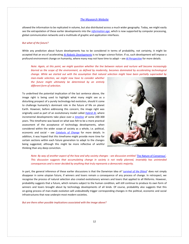allowed the information to be replicated in volume, but also distributed across a much wider geography. Today, we might easily see the extrapolation of these earlier developments into the *[information age](https://en.wikipedia.org/wiki/Information_Age)*, which is now supported by computer processing, global communication networks and a multitude of graphic and application interfaces.

#### *But what of the future?*

While any prediction about future developments has to be considered in terms of probability, not certainty, it might be accepted that an era of accelerating *[AI-Robotic Developments](http://www.mysearch.org.uk/website2/html/195.AI.html)* is no longer science fiction. If so, such development will impose a profound environment change on humanity, where many may not have time to adapt – see *[AI Perspective](AI%20perspective)* for more details.

*Note: Again, at this point, we might question whether the line between nature and nurture will become increasingly blurred as the scope of the environment, as defined by modernity, becomes dominated by accelerating technological change. While we started out with the assumption that natural selection might have been partially superseded by* 

*man-made selection, we might now have to consider whether the future might ultimately be determined by an entirely different form of selection.*

To underlined the potential implication of the last sentence above, the image right is being used to highlight what many might see as a disturbing prospect of a purely technology-led evolution, should it come to challenge humanity's dominant role in the future of life on planet Earth. However, before addressing this concern, the image right was originally used as part of an evolutionary model called *[Hybrid](http://www.mysearch.org.uk/website1/html/133.Paradigm.html) AI*, where incremental developments take place over a *[timeline](http://www.mysearch.org.uk/website1/html/142.Timeframes.html)* of some 200-300 years. This timeframe was based on what was felt to be a more practical assessment of the acceptance of technology developments, when considered within the wider scope of society as a whole, i.e. political, economic and social – see *[Catalysts of Change](http://www.mysearch.org.uk/website2/html/185.Catalysts.html)* for more details. In addition, it was hoped that this timeframe might provide more time for certain sections within each future generation to adapt to the changes being suggested, although this might be more reflective of wishful thinking than any deep conviction.



*Note: By way of another aspect of the how and why society changes - see discussion entitled '*[The Nature of Consensus'](http://www.mysearch.org.uk/website2/html/262.Consensus.html)*. This discussion suggests that accumulating change in society is not really planned, invariably has unintended consequences and is never decided by anything that truly represents a democratic majority.*

In part, the general inference of these earlier discussions is that the Darwinian idea of '*[survival of the fittest](https://en.wikipedia.org/wiki/Survival_of_the_fittest)*' does not simply disappear in some utopian future, if winners and losers remain a consequence of any process of change. In retrospect, we recognise the process of natural selection also created evolutionary winners and losers that applied to all lifeforms. However, probability suggests that a future, which remains subject to the human condition, will still continue to produce its own form of winners and losers brought about by technology developments of all kinds. Of course, probability also suggests that this on-going process of man-made evolution will undoubtedly trigger corresponding changes in the political, economic and social infrastructures that now underpin most modern societies.

*But are there other possible implications associated with the image above?*